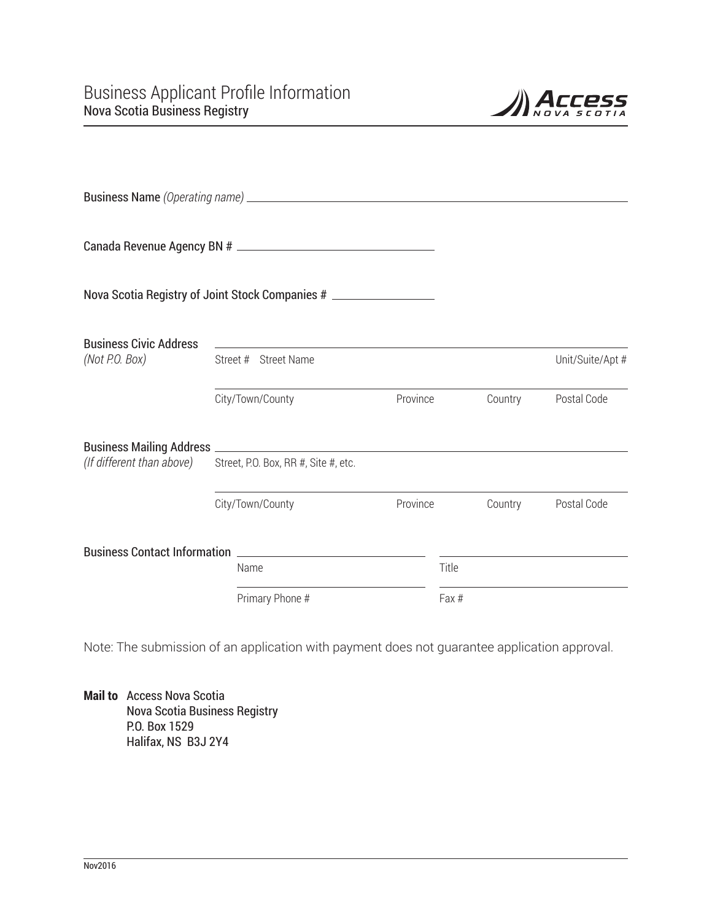

|                                                 | Nova Scotia Registry of Joint Stock Companies # __________________ |          |                   |         |                  |
|-------------------------------------------------|--------------------------------------------------------------------|----------|-------------------|---------|------------------|
| <b>Business Civic Address</b><br>(Not P.O. Box) | Street # Street Name                                               |          |                   |         | Unit/Suite/Apt # |
|                                                 | City/Town/County                                                   | Province |                   | Country | Postal Code      |
|                                                 |                                                                    |          |                   |         |                  |
| (If different than above)                       | Street, P.O. Box, RR #, Site #, etc.                               |          |                   |         |                  |
|                                                 | City/Town/County                                                   | Province |                   | Country | Postal Code      |
|                                                 | Business Contact Information                                       |          |                   |         |                  |
|                                                 | Name<br>Primary Phone #                                            |          | Title<br>$Fax \#$ |         |                  |

Note: The submission of an application with payment does not guarantee application approval.

**Mail to** Access Nova Scotia Nova Scotia Business Registry P.O. Box 1529 Halifax, NS B3J 2Y4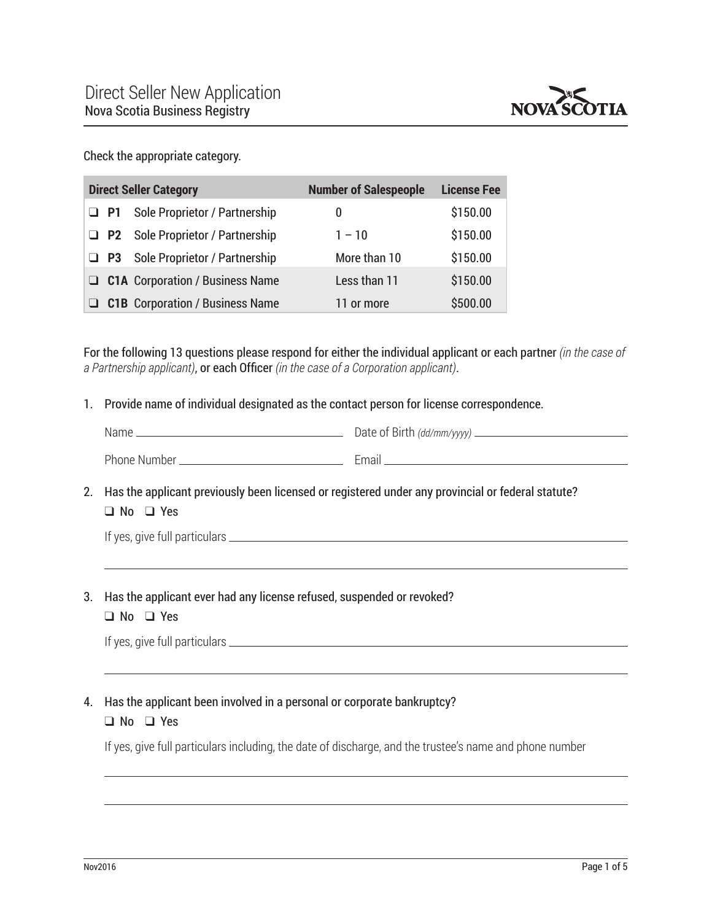

Check the appropriate category.

| <b>Direct Seller Category</b> |           |                                           | <b>Number of Salespeople</b> | <b>License Fee</b> |
|-------------------------------|-----------|-------------------------------------------|------------------------------|--------------------|
|                               | $\Box$ P1 | <b>Sole Proprietor / Partnership</b>      | 0                            | \$150.00           |
|                               |           | <b>D</b> P2 Sole Proprietor / Partnership | $1 - 10$                     | \$150.00           |
|                               |           | $\Box$ P3 Sole Proprietor / Partnership   | More than 10                 | \$150.00           |
|                               |           | $\Box$ C1A Corporation / Business Name    | Less than 11                 | \$150.00           |
|                               |           | <b>C1B</b> Corporation / Business Name    | 11 or more                   | \$500.00           |

For the following 13 questions please respond for either the individual applicant or each partner *(in the case of a Partnership applicant)*, or each Officer *(in the case of a Corporation applicant)*.

1. Provide name of individual designated as the contact person for license correspondence.

| Name         | Date of Birth (dd/mm/yyyy) ____ |
|--------------|---------------------------------|
| Phone Number | Email                           |

2. Has the applicant previously been licensed or registered under any provincial or federal statute?  $\Box$  No  $\Box$  Yes

| If yes, give full particulars. |  |  |
|--------------------------------|--|--|
|                                |  |  |

- 3. Has the applicant ever had any license refused, suspended or revoked?  $\Box$  No  $\Box$  Yes
	-

If yes, give full particulars

## 4. Has the applicant been involved in a personal or corporate bankruptcy?

#### $\Box$  No  $\Box$  Yes

If yes, give full particulars including, the date of discharge, and the trustee's name and phone number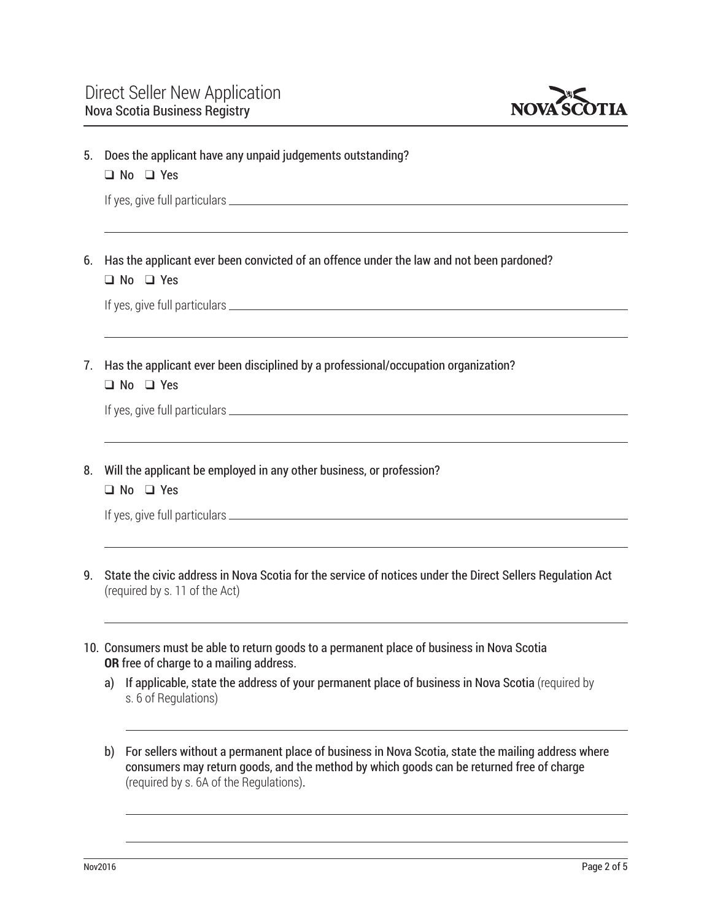

| 5.             | Does the applicant have any unpaid judgements outstanding?<br>$\Box$ No $\Box$ Yes                                                                                                                                                                                      |  |  |  |  |
|----------------|-------------------------------------------------------------------------------------------------------------------------------------------------------------------------------------------------------------------------------------------------------------------------|--|--|--|--|
|                |                                                                                                                                                                                                                                                                         |  |  |  |  |
| 6.             | Has the applicant ever been convicted of an offence under the law and not been pardoned?<br>$\Box$ No $\Box$ Yes                                                                                                                                                        |  |  |  |  |
|                |                                                                                                                                                                                                                                                                         |  |  |  |  |
| 7 <sub>1</sub> | Has the applicant ever been disciplined by a professional/occupation organization?<br>$\Box$ No $\Box$ Yes                                                                                                                                                              |  |  |  |  |
|                |                                                                                                                                                                                                                                                                         |  |  |  |  |
| 8.             | Will the applicant be employed in any other business, or profession?<br>$\Box$ No $\Box$ Yes                                                                                                                                                                            |  |  |  |  |
|                |                                                                                                                                                                                                                                                                         |  |  |  |  |
| q              | State the civic address in Nova Scotia for the service of notices under the Direct Sellers Regulation Act<br>(required by s. 11 of the Act)                                                                                                                             |  |  |  |  |
|                | 10. Consumers must be able to return goods to a permanent place of business in Nova Scotia<br>OR free of charge to a mailing address.<br>If applicable, state the address of your permanent place of business in Nova Scotia (required by<br>a)<br>s. 6 of Regulations) |  |  |  |  |

b) For sellers without a permanent place of business in Nova Scotia, state the mailing address where consumers may return goods, and the method by which goods can be returned free of charge (required by s. 6A of the Regulations).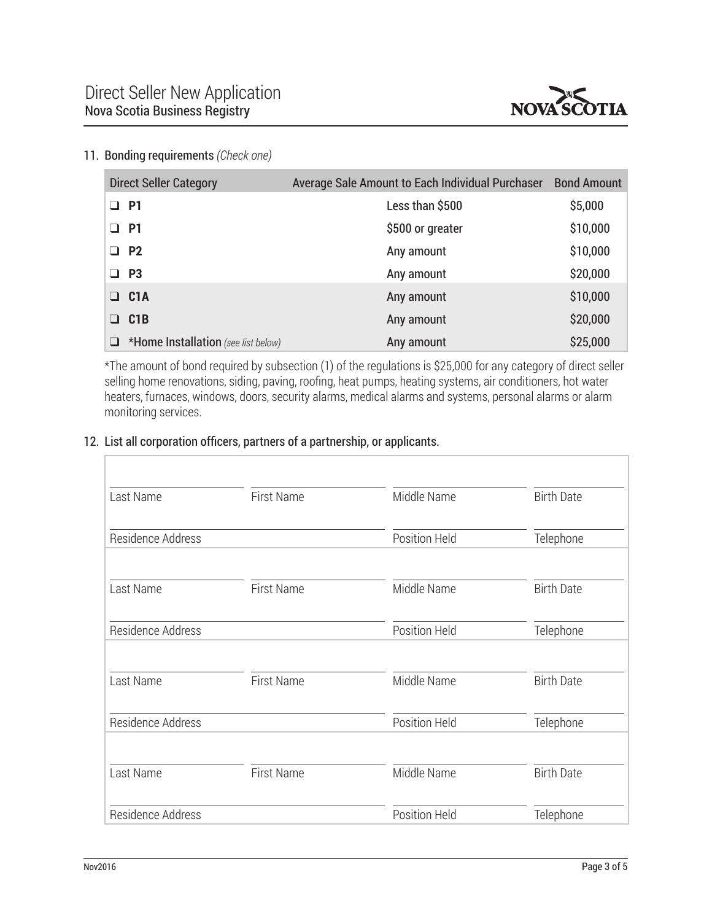

### 11. Bonding requirements *(Check one)*

| <b>Direct Seller Category</b>            | Average Sale Amount to Each Individual Purchaser | <b>Bond Amount</b> |
|------------------------------------------|--------------------------------------------------|--------------------|
| □ P1                                     | Less than \$500                                  | \$5,000            |
| $\Box$ P1                                | \$500 or greater                                 | \$10,000           |
| $\Box$ P2                                | Any amount                                       | \$10,000           |
| $\Box$ P3                                | Any amount                                       | \$20,000           |
| $\Box$ C1A                               | Any amount                                       | \$10,000           |
| $\Box$ C1B                               | Any amount                                       | \$20,000           |
| *Home Installation (see list below)<br>❏ | Any amount                                       | \$25,000           |

\*The amount of bond required by subsection (1) of the regulations is \$25,000 for any category of direct seller selling home renovations, siding, paving, roofing, heat pumps, heating systems, air conditioners, hot water heaters, furnaces, windows, doors, security alarms, medical alarms and systems, personal alarms or alarm monitoring services.

## 12. List all corporation officers, partners of a partnership, or applicants.

| Last Name         | First Name        | Middle Name   | <b>Birth Date</b> |
|-------------------|-------------------|---------------|-------------------|
| Residence Address |                   | Position Held | Telephone         |
| Last Name         | First Name        | Middle Name   | <b>Birth Date</b> |
| Residence Address |                   | Position Held | Telephone         |
| Last Name         | <b>First Name</b> | Middle Name   | <b>Birth Date</b> |
| Residence Address |                   | Position Held | Telephone         |
| Last Name         | <b>First Name</b> | Middle Name   | <b>Birth Date</b> |
| Residence Address |                   | Position Held | Telephone         |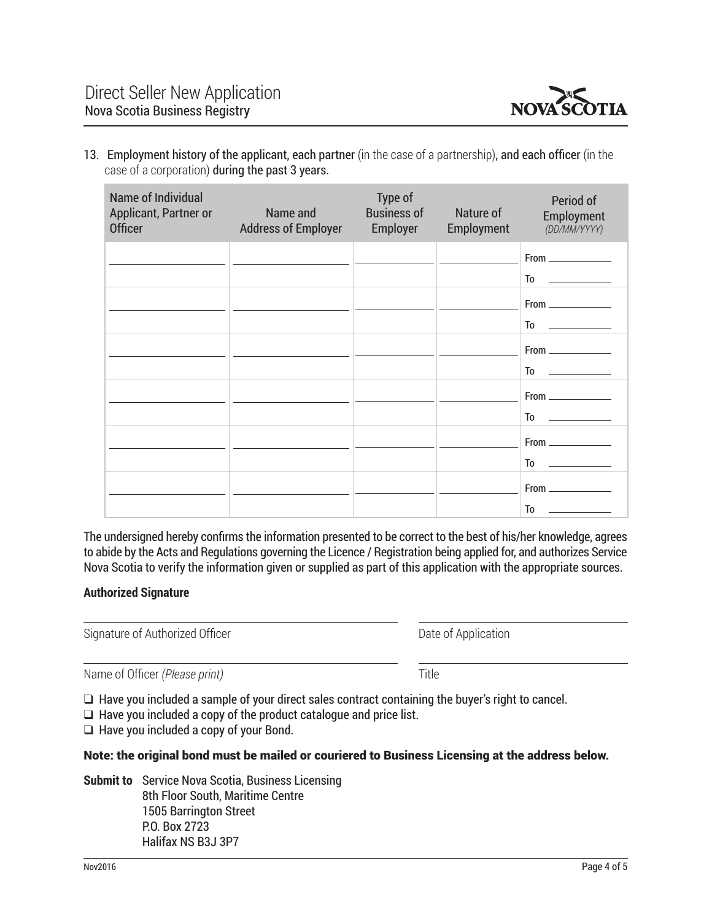

13. Employment history of the applicant, each partner (in the case of a partnership), and each officer (in the case of a corporation) during the past 3 years.

| Name of Individual<br>Applicant, Partner or<br><b>Officer</b> | Name and<br><b>Address of Employer</b> | Type of<br><b>Business of</b><br>Employer | Nature of<br>Employment | Period of<br>Employment<br>(DD/MM/YYYY)                                                                                                                                                                                                                                                                                                                                                                                     |
|---------------------------------------------------------------|----------------------------------------|-------------------------------------------|-------------------------|-----------------------------------------------------------------------------------------------------------------------------------------------------------------------------------------------------------------------------------------------------------------------------------------------------------------------------------------------------------------------------------------------------------------------------|
|                                                               |                                        |                                           |                         | $From ________$                                                                                                                                                                                                                                                                                                                                                                                                             |
|                                                               |                                        |                                           |                         |                                                                                                                                                                                                                                                                                                                                                                                                                             |
|                                                               |                                        |                                           |                         | $From _______$                                                                                                                                                                                                                                                                                                                                                                                                              |
|                                                               |                                        |                                           |                         | $\begin{picture}(20,20) \put(0,0){\dashbox{0.5}(5,0){ }} \thicklines \put(0,0){\dashbox{0.5}(5,0){ }} \thicklines \put(0,0){\dashbox{0.5}(5,0){ }} \thicklines \put(0,0){\dashbox{0.5}(5,0){ }} \thicklines \put(0,0){\dashbox{0.5}(5,0){ }} \thicklines \put(0,0){\dashbox{0.5}(5,0){ }} \thicklines \put(0,0){\dashbox{0.5}(5,0){ }} \thicklines \put(0,0){\dashbox{0.5}(5,0){ }} \thicklines \put(0,0){\dashbox{0.5}(5,$ |
|                                                               |                                        |                                           |                         | $From _______$                                                                                                                                                                                                                                                                                                                                                                                                              |
|                                                               |                                        |                                           |                         |                                                                                                                                                                                                                                                                                                                                                                                                                             |
|                                                               |                                        |                                           |                         | $From _______$                                                                                                                                                                                                                                                                                                                                                                                                              |
|                                                               |                                        |                                           |                         |                                                                                                                                                                                                                                                                                                                                                                                                                             |
|                                                               |                                        |                                           |                         | $From \_$                                                                                                                                                                                                                                                                                                                                                                                                                   |
|                                                               |                                        |                                           |                         |                                                                                                                                                                                                                                                                                                                                                                                                                             |
|                                                               |                                        |                                           |                         |                                                                                                                                                                                                                                                                                                                                                                                                                             |
|                                                               |                                        |                                           |                         | To                                                                                                                                                                                                                                                                                                                                                                                                                          |

The undersigned hereby confirms the information presented to be correct to the best of his/her knowledge, agrees to abide by the Acts and Regulations governing the Licence / Registration being applied for, and authorizes Service Nova Scotia to verify the information given or supplied as part of this application with the appropriate sources.

### **Authorized Signature**

Signature of Authorized Officer **Date of Application** Date of Application

Name of Officer *(Please print)* Title

 $\Box$  Have you included a sample of your direct sales contract containing the buyer's right to cancel.

 $\Box$  Have you included a copy of the product catalogue and price list.

 $\Box$  Have you included a copy of your Bond.

#### Note: the original bond must be mailed or couriered to Business Licensing at the address below.

**Submit to** Service Nova Scotia, Business Licensing 8th Floor South, Maritime Centre 1505 Barrington Street P.O. Box 2723 Halifax NS B3J 3P7